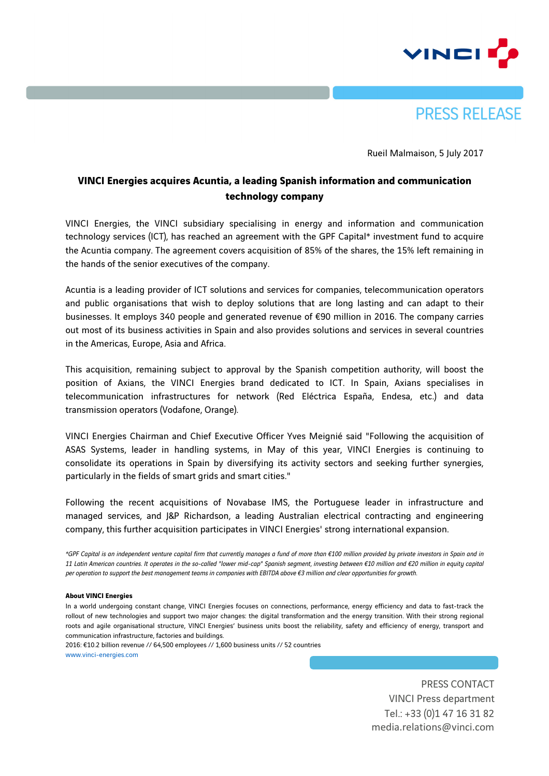



Rueil Malmaison, 5 July 2017

## **VINCI Energies acquires Acuntia, a leading Spanish information and communication technology company**

VINCI Energies, the VINCI subsidiary specialising in energy and information and communication technology services (ICT), has reached an agreement with the GPF Capital\* investment fund to acquire the Acuntia company. The agreement covers acquisition of 85% of the shares, the 15% left remaining in the hands of the senior executives of the company.

Acuntia is a leading provider of ICT solutions and services for companies, telecommunication operators and public organisations that wish to deploy solutions that are long lasting and can adapt to their businesses. It employs 340 people and generated revenue of €90 million in 2016. The company carries out most of its business activities in Spain and also provides solutions and services in several countries in the Americas, Europe, Asia and Africa.

This acquisition, remaining subject to approval by the Spanish competition authority, will boost the position of Axians, the VINCI Energies brand dedicated to ICT. In Spain, Axians specialises in telecommunication infrastructures for network (Red Eléctrica España, Endesa, etc.) and data transmission operators (Vodafone, Orange).

VINCI Energies Chairman and Chief Executive Officer Yves Meignié said "Following the acquisition of ASAS Systems, leader in handling systems, in May of this year, VINCI Energies is continuing to consolidate its operations in Spain by diversifying its activity sectors and seeking further synergies, particularly in the fields of smart grids and smart cities."

Following the recent acquisitions of Novabase IMS, the Portuguese leader in infrastructure and managed services, and J&P Richardson, a leading Australian electrical contracting and engineering company, this further acquisition participates in VINCI Energies' strong international expansion.

*\*GPF Capital is an independent venture capital firm that currently manages a fund of more than €100 million provided by private investors in Spain and in 11 Latin American countries. It operates in the so-called "lower mid-cap" Spanish segment, investing between €10 million and €20 million in equity capital per operation to support the best management teams in companies with EBITDA above €3 million and clear opportunities for growth.*

## **About VINCI Energies**

In a world undergoing constant change, VINCI Energies focuses on connections, performance, energy efficiency and data to fast-track the rollout of new technologies and support two major changes: the digital transformation and the energy transition. With their strong regional roots and agile organisational structure, VINCI Energies' business units boost the reliability, safety and efficiency of energy, transport and communication infrastructure, factories and buildings.

2016: €10.2 billion revenue // 64,500 employees // 1,600 business units // 52 countries www.vinci-energies.com

> PRESS CONTACT VINCI Press department Tel.: +33 (0)1 47 16 31 82 media.relations@vinci.com